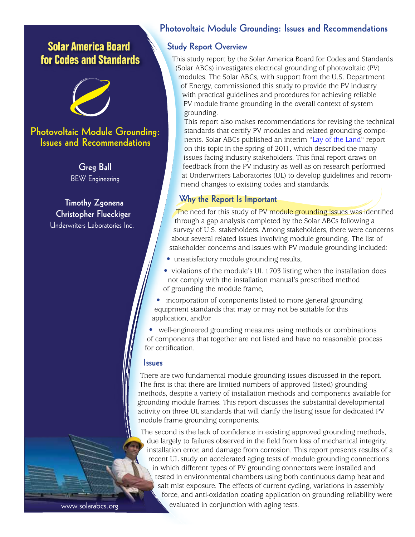# **Solar America Board for Codes and Standards**



# **Photovoltaic Module Grounding: Issues and Recommendations**

**Greg Ball** BEW Engineering

**Timothy Zgonena Christopher Flueckiger** Underwriters Laboratories Inc.

# **Photovoltaic Module Grounding: Issues and Recommendations**

### **Study Report Overview**

This study report by the Solar America Board for Codes and Standards (Solar ABCs) investigates electrical grounding of photovoltaic (PV) modules. The Solar ABCs, with support from the U.S. Department of Energy, commissioned this study to provide the PV industry with practical guidelines and procedures for achieving reliable PV module frame grounding in the overall context of system grounding.

This report also makes recommendations for revising the technical standards that certify PV modules and related grounding components. Solar ABCs published an interim ["Lay of the Land](http://www.solarabcs.org/about/publications/reports/module-grounding/)" [report](http://www.solarabcs.org/grounding)  on this topic in the spring of 2011, which described the many issues facing industry stakeholders. This final report draws on feedback from the PV industry as well as on research performed at Underwriters Laboratories (UL) to develop guidelines and recommend changes to existing codes and standards.

## **Why the Report Is Important**

The need for this study of PV module grounding issues was identified through a gap analysis completed by the Solar ABCs following a survey of U.S. stakeholders. Among stakeholders, there were concerns about several related issues involving module grounding. The list of stakeholder concerns and issues with PV module grounding included:

- unsatisfactory module grounding results,
- violations of the module's UL 1703 listing when the installation does not comply with the installation manual's prescribed method of grounding the module frame,
- incorporation of components listed to more general grounding equipment standards that may or may not be suitable for this application, and/or

• well-engineered grounding measures using methods or combinations of components that together are not listed and have no reasonable process for certification.

#### **Issues**

There are two fundamental module grounding issues discussed in the report. The first is that there are limited numbers of approved (listed) grounding methods, despite a variety of installation methods and components available for grounding module frames. This report discusses the substantial developmental activity on three UL standards that will clarify the listing issue for dedicated PV module frame grounding components.

The second is the lack of confidence in existing approved grounding methods, due largely to failures observed in the field from loss of mechanical integrity, installation error, and damage from corrosion. This report presents results of a recent UL study on accelerated aging tests of module grounding connections in which different types of PV grounding connectors were installed and tested in environmental chambers using both continuous damp heat and salt mist exposure. The effects of current cycling, variations in assembly force, and anti-oxidation coating application on grounding reliability were evaluated in conjunction with aging tests.

www.solarabcs.org